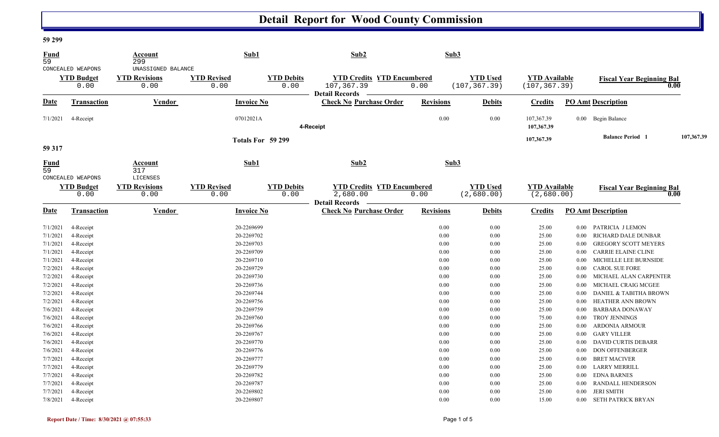## **Detail Report for Wood County Commission**

## **59 299**

| <b>Fund</b><br>$\overline{59}$ |                                                | Account<br>299                                     |                            | Sub1                      | Sub2                                                                     | Sub3             |                                  |                                       |          |                                  |            |
|--------------------------------|------------------------------------------------|----------------------------------------------------|----------------------------|---------------------------|--------------------------------------------------------------------------|------------------|----------------------------------|---------------------------------------|----------|----------------------------------|------------|
|                                | CONCEALED WEAPONS<br><b>YTD Budget</b><br>0.00 | UNASSIGNED BALANCE<br><b>YTD Revisions</b><br>0.00 | <b>YTD Revised</b><br>0.00 | <b>YTD Debits</b><br>0.00 | <b>YTD Credits YTD Encumbered</b><br>107,367.39<br><b>Detail Records</b> | 0.00             | <b>YTD Used</b><br>(107, 367.39) | <b>YTD Available</b><br>(107, 367.39) |          | <b>Fiscal Year Beginning Bal</b> | 0.00       |
| Date                           | Transaction                                    | Vendor                                             |                            | <b>Invoice No</b>         | <b>Check No Purchase Order</b>                                           | <b>Revisions</b> | <b>Debits</b>                    | <b>Credits</b>                        |          | <b>PO Amt Description</b>        |            |
| 7/1/2021                       | 4-Receipt                                      |                                                    |                            | 07012021A                 | 4-Receipt                                                                | 0.00             | $0.00\,$                         | 107,367.39<br>107,367.39              |          | 0.00 Begin Balance               |            |
| 59 317                         |                                                |                                                    |                            | Totals For 59 299         |                                                                          |                  |                                  | 107,367.39                            |          | <b>Balance Period 1</b>          | 107,367.39 |
| Fund<br>59                     |                                                | Account<br>317                                     |                            | Sub1                      | Sub2                                                                     | Sub3             |                                  |                                       |          |                                  |            |
|                                | CONCEALED WEAPONS<br><b>YTD Budget</b><br>0.00 | LICENSES<br><b>YTD Revisions</b><br>0.00           | <b>YTD Revised</b><br>0.00 | <b>YTD Debits</b><br>0.00 | <b>YTD Credits YTD Encumbered</b><br>2,680.00                            | 0.00             | <b>YTD Used</b><br>(2,680.00)    | <b>YTD Available</b><br>(2,680.00)    |          | <b>Fiscal Year Beginning Bal</b> | 0.00       |
| <b>Date</b>                    | Transaction                                    | Vendor                                             |                            | <b>Invoice No</b>         | <b>Detail Records</b><br><b>Check No Purchase Order</b>                  | <b>Revisions</b> | <b>Debits</b>                    | <b>Credits</b>                        |          | <b>PO Amt Description</b>        |            |
| 7/1/2021                       | 4-Receipt                                      |                                                    |                            | 20-2269699                |                                                                          | 0.00             | 0.00                             | 25.00                                 | $0.00\,$ | PATRICIA J LEMON                 |            |
| 7/1/2021                       | 4-Receipt                                      |                                                    |                            | 20-2269702                |                                                                          | 0.00             | 0.00                             | 25.00                                 | 0.00     | RICHARD DALE DUNBAR              |            |
| 7/1/2021                       | 4-Receipt                                      |                                                    |                            | 20-2269703                |                                                                          | 0.00             | 0.00                             | 25.00                                 | $0.00\,$ | <b>GREGORY SCOTT MEYERS</b>      |            |
| 7/1/2021                       | 4-Receipt                                      |                                                    |                            | 20-2269709                |                                                                          | 0.00             | 0.00                             | 25.00                                 | $0.00\,$ | CARRIE ELAINE CLINE              |            |
| 7/1/2021                       | 4-Receipt                                      |                                                    |                            | 20-2269710                |                                                                          | 0.00             | 0.00                             | 25.00                                 | $0.00\,$ | MICHELLE LEE BURNSIDE            |            |
| 7/2/2021                       | 4-Receipt                                      |                                                    |                            | 20-2269729                |                                                                          | 0.00             | 0.00                             | 25.00                                 | $0.00\,$ | <b>CAROL SUE FORE</b>            |            |
| 7/2/2021                       | 4-Receipt                                      |                                                    |                            | 20-2269730                |                                                                          | 0.00             | 0.00                             | 25.00                                 | $0.00\,$ | MICHAEL ALAN CARPENTER           |            |
| 7/2/2021                       | 4-Receipt                                      |                                                    |                            | 20-2269736                |                                                                          | $0.00\,$         | 0.00                             | 25.00                                 | $0.00\,$ | MICHAEL CRAIG MCGEE              |            |
| 7/2/2021                       | 4-Receipt                                      |                                                    |                            | 20-2269744                |                                                                          | 0.00             | 0.00                             | 25.00                                 | 0.00     | DANIEL & TABITHA BROWN           |            |
| 7/2/2021                       | 4-Receipt                                      |                                                    |                            | 20-2269756                |                                                                          | 0.00             | 0.00                             | 25.00                                 | 0.00     | HEATHER ANN BROWN                |            |
| 7/6/2021                       | 4-Receipt                                      |                                                    |                            | 20-2269759                |                                                                          | 0.00             | 0.00                             | 25.00                                 | 0.00     | <b>BARBARA DONAWAY</b>           |            |
| 7/6/2021                       | 4-Receipt                                      |                                                    |                            | 20-2269760                |                                                                          | 0.00             | 0.00                             | 75.00                                 | $0.00\,$ | <b>TROY JENNINGS</b>             |            |
| 7/6/2021                       | 4-Receipt                                      |                                                    |                            | 20-2269766                |                                                                          | $0.00\,$         | 0.00                             | 25.00                                 | $0.00\,$ | <b>ARDONIA ARMOUR</b>            |            |
| 7/6/2021                       | 4-Receipt                                      |                                                    |                            | 20-2269767                |                                                                          | 0.00             | 0.00                             | 25.00                                 | $0.00\,$ | <b>GARY VILLER</b>               |            |
| 7/6/2021                       | 4-Receipt                                      |                                                    |                            | 20-2269770                |                                                                          | 0.00             | 0.00                             | 25.00                                 | $0.00\,$ | <b>DAVID CURTIS DEBARR</b>       |            |
| 7/6/2021                       | 4-Receipt                                      |                                                    |                            | 20-2269776                |                                                                          | 0.00             | 0.00                             | 25.00                                 | 0.00     | <b>DON OFFENBERGER</b>           |            |
| 7/7/2021                       | 4-Receipt                                      |                                                    |                            | 20-2269777                |                                                                          | 0.00             | 0.00                             | 25.00                                 | $0.00\,$ | <b>BRET MACIVER</b>              |            |
| 7/7/2021                       | 4-Receipt                                      |                                                    |                            | 20-2269779                |                                                                          | 0.00             | 0.00                             | 25.00                                 | $0.00\,$ | <b>LARRY MERRILL</b>             |            |
| 7/7/2021                       | 4-Receipt                                      |                                                    |                            | 20-2269782                |                                                                          | 0.00             | 0.00                             | 25.00                                 | $0.00\,$ | <b>EDNA BARNES</b>               |            |
| 7/7/2021                       | 4-Receipt                                      |                                                    |                            | 20-2269787                |                                                                          | 0.00             | 0.00                             | 25.00                                 | $0.00\,$ | RANDALL HENDERSON                |            |
| 7/7/2021                       | 4-Receipt                                      |                                                    |                            | 20-2269802                |                                                                          | 0.00             | 0.00                             | 25.00                                 | $0.00\,$ | <b>JERI SMITH</b>                |            |
| 7/8/2021                       | 4-Receipt                                      |                                                    |                            | 20-2269807                |                                                                          | 0.00             | 0.00                             | 15.00                                 |          | 0.00 SETH PATRICK BRYAN          |            |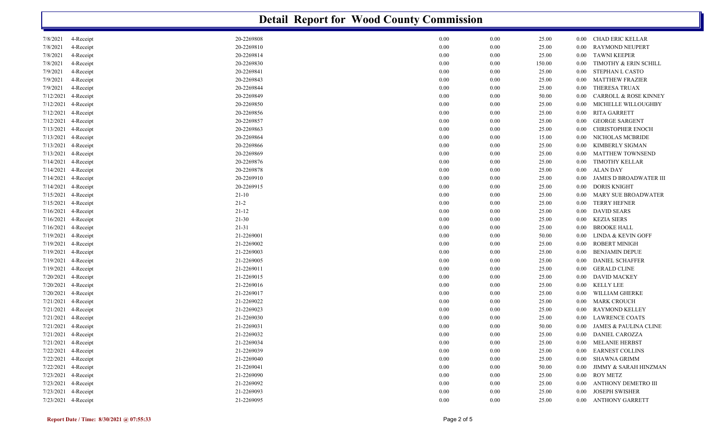|                     | <b>Detail Report for Wood County Commission</b> |            |          |          |        |          |                                  |  |  |  |
|---------------------|-------------------------------------------------|------------|----------|----------|--------|----------|----------------------------------|--|--|--|
| 7/8/2021            | 4-Receipt                                       | 20-2269808 | 0.00     | $0.00\,$ | 25.00  | $0.00\,$ | <b>CHAD ERIC KELLAR</b>          |  |  |  |
| 7/8/2021            | 4-Receipt                                       | 20-2269810 | 0.00     | $0.00\,$ | 25.00  | 0.00     | <b>RAYMOND NEUPERT</b>           |  |  |  |
| 7/8/2021            | 4-Receipt                                       | 20-2269814 | 0.00     | $0.00\,$ | 25.00  | $0.00\,$ | <b>TAWNI KEEPER</b>              |  |  |  |
| 7/8/2021            | 4-Receipt                                       | 20-2269830 | 0.00     | 0.00     | 150.00 | 0.00     | TIMOTHY & ERIN SCHILL            |  |  |  |
| 7/9/2021            | 4-Receipt                                       | 20-2269841 | 0.00     | $0.00\,$ | 25.00  | 0.00     | STEPHAN L CASTO                  |  |  |  |
| 7/9/2021            | 4-Receipt                                       | 20-2269843 | 0.00     | $0.00\,$ | 25.00  | 0.00     | <b>MATTHEW FRAZIER</b>           |  |  |  |
| 7/9/2021            | 4-Receipt                                       | 20-2269844 | 0.00     | 0.00     | 25.00  | 0.00     | THERESA TRUAX                    |  |  |  |
| 7/12/2021           | 4-Receipt                                       | 20-2269849 | 0.00     | 0.00     | 50.00  | 0.00     | <b>CARROLL &amp; ROSE KINNEY</b> |  |  |  |
| 7/12/2021           | 4-Receipt                                       | 20-2269850 | 0.00     | 0.00     | 25.00  | $0.00\,$ | MICHELLE WILLOUGHBY              |  |  |  |
| 7/12/2021           | 4-Receipt                                       | 20-2269856 | 0.00     | 0.00     | 25.00  | 0.00     | <b>RITA GARRETT</b>              |  |  |  |
| 7/12/2021           | 4-Receipt                                       | 20-2269857 | 0.00     | $0.00\,$ | 25.00  | 0.00     | <b>GEORGE SARGENT</b>            |  |  |  |
| 7/13/2021 4-Receipt |                                                 | 20-2269863 | 0.00     | $0.00\,$ | 25.00  | 0.00     | <b>CHRISTOPHER ENOCH</b>         |  |  |  |
| 7/13/2021           | 4-Receipt                                       | 20-2269864 | 0.00     | 0.00     | 15.00  | 0.00     | NICHOLAS MCBRIDE                 |  |  |  |
| 7/13/2021 4-Receipt |                                                 | 20-2269866 | 0.00     | 0.00     | 25.00  | 0.00     | KIMBERLY SIGMAN                  |  |  |  |
| 7/13/2021           | 4-Receipt                                       | 20-2269869 | 0.00     | 0.00     | 25.00  | $0.00\,$ | <b>MATTHEW TOWNSEND</b>          |  |  |  |
| 7/14/2021 4-Receipt |                                                 | 20-2269876 | 0.00     | 0.00     | 25.00  | 0.00     | <b>TIMOTHY KELLAR</b>            |  |  |  |
| 7/14/2021 4-Receipt |                                                 | 20-2269878 | 0.00     | $0.00\,$ | 25.00  | $0.00\,$ | <b>ALAN DAY</b>                  |  |  |  |
| 7/14/2021 4-Receipt |                                                 | 20-2269910 | 0.00     | $0.00\,$ | 25.00  | 0.00     | <b>JAMES D BROADWATER III</b>    |  |  |  |
| 7/14/2021 4-Receipt |                                                 | 20-2269915 | 0.00     | 0.00     | 25.00  | 0.00     | <b>DORIS KNIGHT</b>              |  |  |  |
| 7/15/2021 4-Receipt |                                                 | $21 - 10$  | $0.00\,$ | 0.00     | 25.00  | 0.00     | <b>MARY SUE BROADWATER</b>       |  |  |  |
| 7/15/2021 4-Receipt |                                                 | $21 - 2$   | 0.00     | 0.00     | 25.00  | $0.00\,$ | <b>TERRY HEFNER</b>              |  |  |  |
| 7/16/2021 4-Receipt |                                                 | $21 - 12$  | 0.00     | 0.00     | 25.00  | 0.00     | <b>DAVID SEARS</b>               |  |  |  |
| 7/16/2021 4-Receipt |                                                 | $21 - 30$  | 0.00     | $0.00\,$ | 25.00  | 0.00     | <b>KEZIA SIERS</b>               |  |  |  |
| 7/16/2021 4-Receipt |                                                 | $21 - 31$  | 0.00     | $0.00\,$ | 25.00  | 0.00     | <b>BROOKE HALL</b>               |  |  |  |
| 7/19/2021 4-Receipt |                                                 | 21-2269001 | 0.00     | 0.00     | 50.00  | 0.00     | LINDA & KEVIN GOFF               |  |  |  |
| 7/19/2021 4-Receipt |                                                 | 21-2269002 | 0.00     | $0.00\,$ | 25.00  | 0.00     | <b>ROBERT MINIGH</b>             |  |  |  |
| 7/19/2021           | 4-Receipt                                       | 21-2269003 | 0.00     | $0.00\,$ | 25.00  | $0.00\,$ | <b>BENJAMIN DEPUE</b>            |  |  |  |
| 7/19/2021           | 4-Receipt                                       | 21-2269005 | 0.00     | 0.00     | 25.00  | 0.00     | <b>DANIEL SCHAFFER</b>           |  |  |  |
| 7/19/2021 4-Receipt |                                                 | 21-2269011 | 0.00     | $0.00\,$ | 25.00  | 0.00     | <b>GERALD CLINE</b>              |  |  |  |
| 7/20/2021 4-Receipt |                                                 | 21-2269015 | 0.00     | $0.00\,$ | 25.00  | 0.00     | <b>DAVID MACKEY</b>              |  |  |  |
| 7/20/2021 4-Receipt |                                                 | 21-2269016 | 0.00     | 0.00     | 25.00  | 0.00     | <b>KELLY LEE</b>                 |  |  |  |
| 7/20/2021 4-Receipt |                                                 | 21-2269017 | 0.00     | $0.00\,$ | 25.00  | 0.00     | WILLIAM GHERKE                   |  |  |  |
| 7/21/2021           | 4-Receipt                                       | 21-2269022 | 0.00     | 0.00     | 25.00  | $0.00\,$ | <b>MARK CROUCH</b>               |  |  |  |
| 7/21/2021 4-Receipt |                                                 | 21-2269023 | 0.00     | 0.00     | 25.00  | 0.00     | RAYMOND KELLEY                   |  |  |  |
| 7/21/2021 4-Receipt |                                                 | 21-2269030 | 0.00     | 0.00     | 25.00  | 0.00     | <b>LAWRENCE COATS</b>            |  |  |  |
| 7/21/2021 4-Receipt |                                                 | 21-2269031 | 0.00     | 0.00     | 50.00  | $0.00\,$ | <b>JAMES &amp; PAULINA CLINE</b> |  |  |  |
| 7/21/2021 4-Receipt |                                                 | 21-2269032 | $0.00\,$ | $0.00\,$ | 25.00  | $0.00\,$ | <b>DANIEL CAROZZA</b>            |  |  |  |
| 7/21/2021 4-Receipt |                                                 | 21-2269034 | 0.00     | $0.00\,$ | 25.00  | $0.00\,$ | <b>MELANIE HERBST</b>            |  |  |  |
| 7/22/2021 4-Receipt |                                                 | 21-2269039 | 0.00     | $0.00\,$ | 25.00  | $0.00\,$ | <b>EARNEST COLLINS</b>           |  |  |  |
| 7/22/2021 4-Receipt |                                                 | 21-2269040 | $0.00\,$ | $0.00\,$ | 25.00  | $0.00\,$ | SHAWNA GRIMM                     |  |  |  |
|                     | 7/22/2021 4-Receipt                             | 21-2269041 | $0.00\,$ | $0.00\,$ | 50.00  | 0.00     | JIMMY & SARAH HINZMAN            |  |  |  |
| 7/23/2021 4-Receipt |                                                 | 21-2269090 | $0.00\,$ | $0.00\,$ | 25.00  | $0.00\,$ | <b>ROY METZ</b>                  |  |  |  |
|                     | 7/23/2021 4-Receipt                             | 21-2269092 | $0.00\,$ | $0.00\,$ | 25.00  | $0.00\,$ | ANTHONY DEMETRO III              |  |  |  |
| 7/23/2021 4-Receipt |                                                 | 21-2269093 | $0.00\,$ | $0.00\,$ | 25.00  | $0.00\,$ | <b>JOSEPH SWISHER</b>            |  |  |  |
| 7/23/2021 4-Receipt |                                                 | 21-2269095 | $0.00\,$ | $0.00\,$ | 25.00  |          | 0.00 ANTHONY GARRETT             |  |  |  |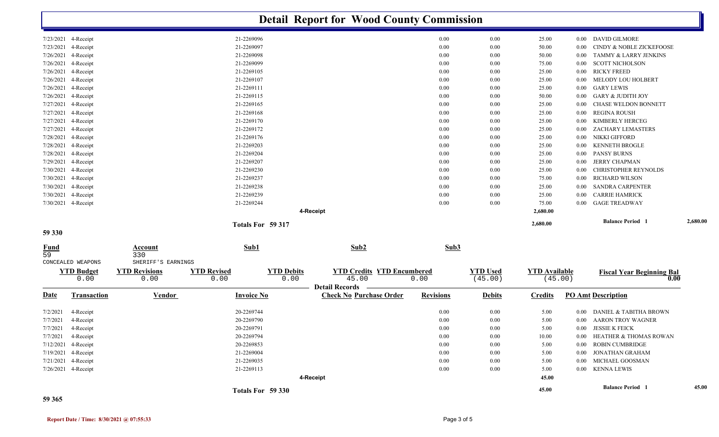|                     |                     |                                             |                    | <b>Detail Report for Wood County Commission</b> |                                   |                  |                 |                      |                   |                                  |          |
|---------------------|---------------------|---------------------------------------------|--------------------|-------------------------------------------------|-----------------------------------|------------------|-----------------|----------------------|-------------------|----------------------------------|----------|
|                     | 7/23/2021 4-Receipt |                                             | 21-2269096         |                                                 |                                   | 0.00             | 0.00            | 25.00                | $0.00\,$          | DAVID GILMORE                    |          |
| 7/23/2021           | 4-Receipt           |                                             | 21-2269097         |                                                 |                                   | 0.00             | 0.00            | 50.00                | 0.00              | CINDY & NOBLE ZICKEFOOSE         |          |
| 7/26/2021           | 4-Receipt           |                                             | 21-2269098         |                                                 |                                   | 0.00             | 0.00            | 50.00                | 0.00              | TAMMY & LARRY JENKINS            |          |
| 7/26/2021           | 4-Receipt           |                                             | 21-2269099         |                                                 |                                   | 0.00             | 0.00            | 75.00                | 0.00              | <b>SCOTT NICHOLSON</b>           |          |
| 7/26/2021           | 4-Receipt           |                                             | 21-2269105         |                                                 |                                   | 0.00             | 0.00            | 25.00                | $0.00\,$          | <b>RICKY FREED</b>               |          |
| 7/26/2021           | 4-Receipt           |                                             | 21-2269107         |                                                 |                                   | 0.00             | 0.00            | 25.00                | 0.00              | MELODY LOU HOLBERT               |          |
| 7/26/2021           | 4-Receipt           |                                             | 21-2269111         |                                                 |                                   | 0.00             | 0.00            | 25.00                | 0.00              | <b>GARY LEWIS</b>                |          |
| 7/26/2021           | 4-Receipt           |                                             | 21-2269115         |                                                 |                                   | 0.00             | 0.00            | 50.00                | 0.00              | <b>GARY &amp; JUDITH JOY</b>     |          |
| 7/27/2021           | 4-Receipt           |                                             | 21-2269165         |                                                 |                                   | 0.00             | 0.00            | 25.00                | 0.00              | CHASE WELDON BONNETT             |          |
| 7/27/2021           | 4-Receipt           |                                             | 21-2269168         |                                                 |                                   | 0.00             | 0.00            | 25.00                | $0.00\,$          | <b>REGINA ROUSH</b>              |          |
| 7/27/2021           | 4-Receipt           |                                             | 21-2269170         |                                                 |                                   | 0.00             | 0.00            | 25.00                | 0.00              | KIMBERLY HERCEG                  |          |
| 7/27/2021           | 4-Receipt           |                                             | 21-2269172         |                                                 |                                   | 0.00             | 0.00            | 25.00                | 0.00              | ZACHARY LEMASTERS                |          |
| 7/28/2021           | 4-Receipt           |                                             | 21-2269176         |                                                 |                                   | 0.00             | 0.00            | 25.00                | 0.00              | NIKKI GIFFORD                    |          |
| 7/28/2021           | 4-Receipt           |                                             | 21-2269203         |                                                 |                                   | 0.00             | 0.00            | 25.00                | 0.00              | <b>KENNETH BROGLE</b>            |          |
| 7/28/2021           | 4-Receipt           |                                             | 21-2269204         |                                                 |                                   | 0.00             | 0.00            | 25.00                | $0.00\,$          | <b>PANSY BURNS</b>               |          |
| 7/29/2021           | 4-Receipt           |                                             | 21-2269207         |                                                 |                                   | 0.00             | 0.00            | 25.00                | 0.00              | <b>JERRY CHAPMAN</b>             |          |
| 7/30/2021           | 4-Receipt           |                                             | 21-2269230         |                                                 |                                   | 0.00             | 0.00            | 25.00                | 0.00              | CHRISTOPHER REYNOLDS             |          |
| 7/30/2021           | 4-Receipt           |                                             | 21-2269237         |                                                 |                                   | 0.00             | 0.00            | 75.00                | 0.00              | <b>RICHARD WILSON</b>            |          |
| 7/30/2021           | 4-Receipt           |                                             | 21-2269238         |                                                 |                                   | 0.00             | 0.00            | 25.00                | 0.00              | <b>SANDRA CARPENTER</b>          |          |
| 7/30/2021           | 4-Receipt           |                                             | 21-2269239         |                                                 |                                   | 0.00             | 0.00            | 25.00                | 0.00              | <b>CARRIE HAMRICK</b>            |          |
|                     | 7/30/2021 4-Receipt |                                             | 21-2269244         |                                                 |                                   | 0.00             | 0.00            | 75.00                | 0.00              | <b>GAGE TREADWAY</b>             |          |
|                     |                     |                                             |                    | 4-Receipt                                       |                                   |                  |                 | 2,680.00             |                   |                                  |          |
|                     |                     |                                             | Totals For 59 317  |                                                 |                                   |                  |                 | 2,680.00             |                   | <b>Balance Period</b>            | 2,680.00 |
| 59 330              |                     |                                             |                    |                                                 |                                   |                  |                 |                      |                   |                                  |          |
| <b>Fund</b><br>59   | CONCEALED WEAPONS   | <b>Account</b><br>330<br>SHERIFF'S EARNINGS | Sub1               |                                                 | Sub2                              | Sub3             |                 |                      |                   |                                  |          |
|                     | <b>YTD Budget</b>   | <b>YTD Revisions</b>                        | <b>YTD Revised</b> | <b>YTD Debits</b>                               | <b>YTD Credits YTD Encumbered</b> |                  | <b>YTD Used</b> | <b>YTD Available</b> |                   | <b>Fiscal Year Beginning Bal</b> |          |
|                     | 0.00                | 0.00                                        | 0.00               | 0.00                                            | 45.00                             | 0.00             | (45.00)         | (45.00)              |                   | 0.00                             |          |
|                     |                     |                                             |                    | <b>Detail Records</b>                           |                                   |                  |                 |                      |                   |                                  |          |
| <u>Date</u>         | <b>Transaction</b>  | <b>Vendor</b>                               | <b>Invoice No</b>  |                                                 | <b>Check No Purchase Order</b>    | <b>Revisions</b> | <b>Debits</b>   | <b>Credits</b>       |                   | <b>PO Amt Description</b>        |          |
| 7/2/2021            | 4-Receipt           |                                             | 20-2269744         |                                                 |                                   | 0.00             | 0.00            | 5.00                 | 0.00 <sub>1</sub> | DANIEL & TABITHA BROWN           |          |
| 7/7/2021            | 4-Receipt           |                                             | 20-2269790         |                                                 |                                   | 0.00             | 0.00            | 5.00                 | $0.00\,$          | <b>AARON TROY WAGNER</b>         |          |
| 7/7/2021            | 4-Receipt           |                                             | 20-2269791         |                                                 |                                   | $0.00\,$         | $0.00\,$        | 5.00                 |                   | 0.00 JESSIE K FEICK              |          |
| 7/7/2021 4-Receipt  |                     |                                             | 20-2269794         |                                                 |                                   | $0.00\,$         | $0.00\,$        | 10.00                |                   | 0.00 HEATHER & THOMAS ROWAN      |          |
| 7/12/2021 4-Receipt |                     |                                             | 20-2269853         |                                                 |                                   | $0.00\,$         | $0.00\,$        | 5.00                 |                   | 0.00 ROBIN CUMBRIDGE             |          |
|                     | 7/19/2021 4-Receipt |                                             | 21-2269004         |                                                 |                                   | $0.00\,$         | $0.00\,$        | 5.00                 |                   | 0.00 JONATHAN GRAHAM             |          |
|                     | 7/21/2021 4-Receipt |                                             | 21-2269035         |                                                 |                                   | $0.00\,$         | $0.00\,$        | 5.00                 |                   | 0.00 MICHAEL GOOSMAN             |          |
|                     | 7/26/2021 4-Receipt |                                             | 21-2269113         |                                                 |                                   | $0.00\,$         | 0.00            | 5.00                 |                   | 0.00 KENNA LEWIS                 |          |
|                     |                     |                                             |                    | 4-Receipt                                       |                                   |                  |                 | 45.00                |                   |                                  |          |
|                     |                     |                                             | Totals For 59 330  |                                                 |                                   |                  |                 | 45.00                |                   | <b>Balance Period</b> 1          | 45.00    |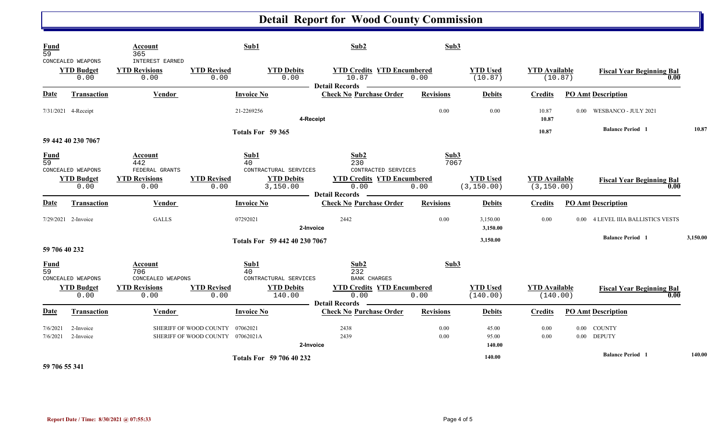## **Detail Report for Wood County Commission**

| <b>Fund</b><br>$\overline{59}$ | CONCEALED WEAPONS         | Account<br>365<br><b>INTEREST EARNED</b> |                                                                     | Sub1                                | Sub2                                                               | Sub3             |                                |                                     |                   |                                          |          |
|--------------------------------|---------------------------|------------------------------------------|---------------------------------------------------------------------|-------------------------------------|--------------------------------------------------------------------|------------------|--------------------------------|-------------------------------------|-------------------|------------------------------------------|----------|
|                                | <b>YTD Budget</b><br>0.00 | <b>YTD Revisions</b><br>0.00             | <b>YTD Revised</b><br>0.00                                          | <b>YTD Debits</b><br>0.00           | <b>YTD Credits YTD Encumbered</b><br>10.87<br>Detail Records –     | 0.00             | <b>YTD Used</b><br>(10.87)     | <b>YTD Available</b><br>(10.87)     |                   | <b>Fiscal Year Beginning Bal</b><br>0.00 |          |
| <b>Date</b>                    | <b>Transaction</b>        | Vendor                                   |                                                                     | <b>Invoice No</b>                   | <b>Check No Purchase Order</b>                                     | <b>Revisions</b> | <b>Debits</b>                  | <b>Credits</b>                      |                   | <b>PO Amt Description</b>                |          |
|                                | 7/31/2021 4-Receipt       |                                          |                                                                     | 21-2269256                          | 4-Receipt                                                          | 0.00             | 0.00                           | 10.87<br>10.87                      |                   | 0.00 WESBANCO - JULY 2021                |          |
|                                | 59 442 40 230 7067        |                                          |                                                                     | Totals For 59 365                   |                                                                    |                  |                                | 10.87                               |                   | <b>Balance Period 1</b>                  | 10.87    |
| <b>Fund</b><br>59              | CONCEALED WEAPONS         | Account<br>442<br>FEDERAL GRANTS         |                                                                     | Sub1<br>40<br>CONTRACTURAL SERVICES | Sub2<br>230<br>CONTRACTED SERVICES                                 | Sub3<br>7067     |                                |                                     |                   |                                          |          |
|                                | <b>YTD Budget</b><br>0.00 | <b>YTD Revisions</b><br>0.00             | <b>YTD Revised</b><br>0.00                                          | <b>YTD Debits</b><br>3,150.00       | <b>YTD Credits YTD Encumbered</b><br>0.00<br><b>Detail Records</b> | 0.00             | <b>YTD Used</b><br>(3, 150.00) | <b>YTD Available</b><br>(3, 150.00) |                   | <b>Fiscal Year Beginning Bal</b><br>0.00 |          |
| <b>Date</b>                    | <b>Transaction</b>        | Vendor                                   |                                                                     | <b>Invoice No</b>                   | <b>Check No Purchase Order</b>                                     | <b>Revisions</b> | <b>Debits</b>                  | <b>Credits</b>                      |                   | <b>PO Amt Description</b>                |          |
|                                | 7/29/2021 2-Invoice       | <b>GALLS</b>                             |                                                                     | 07292021                            | 2442<br>2-Invoice                                                  | 0.00             | 3,150.00<br>3,150.00           | 0.00                                | 0.00 <sub>1</sub> | <b>4 LEVEL IIIA BALLISTICS VESTS</b>     |          |
| 59 706 40 232                  |                           |                                          |                                                                     | Totals For 59 442 40 230 7067       |                                                                    |                  | 3,150.00                       |                                     |                   | <b>Balance Period 1</b>                  | 3,150.00 |
| $\frac{Fund}{59}$              | CONCEALED WEAPONS         | Account<br>706<br>CONCEALED WEAPONS      |                                                                     | Sub1<br>40<br>CONTRACTURAL SERVICES | Sub2<br>232<br><b>BANK CHARGES</b>                                 | Sub3             |                                |                                     |                   |                                          |          |
|                                | <b>YTD Budget</b><br>0.00 | <b>YTD Revisions</b><br>0.00             | <b>YTD Revised</b><br>0.00                                          | <b>YTD Debits</b><br>140.00         | <b>YTD Credits YTD Encumbered</b><br>0.00<br>Detail Records –      | 0.00             | <b>YTD Used</b><br>(140.00)    | <b>YTD Available</b><br>(140.00)    |                   | <b>Fiscal Year Beginning Bal</b><br>0.00 |          |
| Date                           | Transaction               | Vendor                                   |                                                                     | <b>Invoice No</b>                   | <b>Check No Purchase Order</b>                                     | <b>Revisions</b> | <b>Debits</b>                  | <b>Credits</b>                      |                   | <b>PO Amt Description</b>                |          |
| 7/6/2021<br>7/6/2021           | 2-Invoice<br>2-Invoice    |                                          | SHERIFF OF WOOD COUNTY 07062021<br>SHERIFF OF WOOD COUNTY 07062021A |                                     | 2438<br>2439<br>2-Invoice                                          | 0.00<br>0.00     | 45.00<br>95.00<br>140.00       | 0.00<br>0.00                        |                   | 0.00 COUNTY<br>0.00 DEPUTY               |          |
| ----------                     |                           |                                          |                                                                     | <b>Totals For 59 706 40 232</b>     |                                                                    |                  | 140.00                         |                                     |                   | <b>Balance Period 1</b>                  | 140.00   |

**59 706 55 341**